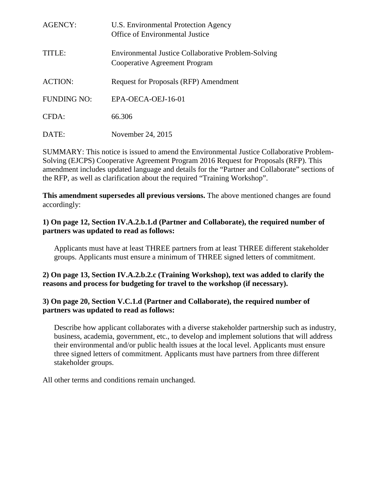| AGENCY:        | U.S. Environmental Protection Agency<br>Office of Environmental Justice                     |
|----------------|---------------------------------------------------------------------------------------------|
| TITLE:         | <b>Environmental Justice Collaborative Problem-Solving</b><br>Cooperative Agreement Program |
| <b>ACTION:</b> | <b>Request for Proposals (RFP) Amendment</b>                                                |
| FUNDING NO:    | $EPA-OECA-OEJ-16-01$                                                                        |
| CFDA:          | 66.306                                                                                      |
| DATE:          | November 24, 2015                                                                           |

SUMMARY: This notice is issued to amend the Environmental Justice Collaborative Problem-Solving (EJCPS) Cooperative Agreement Program 2016 Request for Proposals (RFP). This amendment includes updated language and details for the "Partner and Collaborate" sections of the RFP, as well as clarification about the required "Training Workshop".

**This amendment supersedes all previous versions.** The above mentioned changes are found accordingly:

#### **1) On page 12, Section IV.A.2.b.1.d (Partner and Collaborate), the required number of partners was updated to read as follows:**

Applicants must have at least THREE partners from at least THREE different stakeholder groups. Applicants must ensure a minimum of THREE signed letters of commitment.

## **2) On page 13, Section IV.A.2.b.2.c (Training Workshop), text was added to clarify the reasons and process for budgeting for travel to the workshop (if necessary).**

## **3) On page 20, Section V.C.1.d (Partner and Collaborate), the required number of partners was updated to read as follows:**

Describe how applicant collaborates with a diverse stakeholder partnership such as industry, business, academia, government, etc., to develop and implement solutions that will address their environmental and/or public health issues at the local level. Applicants must ensure three signed letters of commitment. Applicants must have partners from three different stakeholder groups.

All other terms and conditions remain unchanged.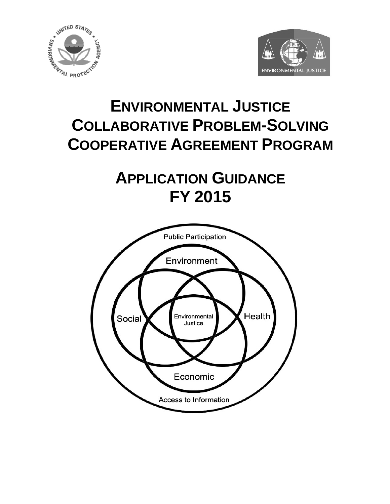



# **ENVIRONMENTAL JUSTICE COLLABORATIVE PROBLEM-SOLVING COOPERATIVE AGREEMENT PROGRAM**

# **APPLICATION GUIDANCE FY 2015**

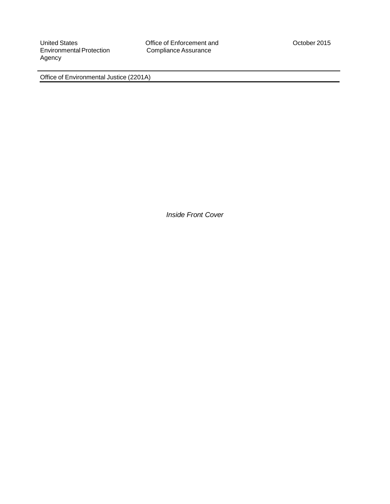Environmental Protection Agency

United States<br>
Environmental Protection Compliance Assurance<br>
Compliance Assurance

Office of Environmental Justice (2201A)

*Inside Front Cover*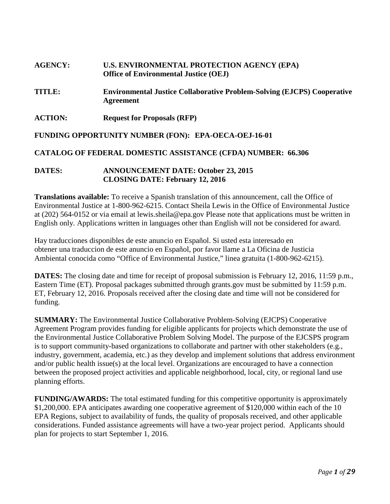# **AGENCY: U.S. ENVIRONMENTAL PROTECTION AGENCY (EPA) Office of Environmental Justice (OEJ)**

- **TITLE: Environmental Justice Collaborative Problem-Solving (EJCPS) Cooperative Agreement**
- **ACTION: Request for Proposals (RFP)**

**FUNDING OPPORTUNITY NUMBER (FON): EPA-OECA-OEJ-16-01**

#### **CATALOG OF FEDERAL DOMESTIC ASSISTANCE (CFDA) NUMBER: 66.306**

#### **DATES: ANNOUNCEMENT DATE: October 23, 2015 CLOSING DATE: February 12, 2016**

**Translations available:** To receive a Spanish translation of this announcement, call the Office of Environmental Justice at 1-800-962-6215. Contact Sheila Lewis in the Office of Environmental Justice at (202) 564-0152 or via email at lewis.sheila@epa.gov Please note that applications must be written in English only. Applications written in languages other than English will not be considered for award.

Hay traducciones disponibles de este anuncio en Español. Si usted esta interesado en obtener una traduccion de este anuncio en Español, por favor llame a La Oficina de Justicia Ambiental conocida como "Office of Environmental Justice," linea gratuita (1-800-962-6215).

**DATES:** The closing date and time for receipt of proposal submission is February 12, 2016, 11:59 p.m., Eastern Time (ET). Proposal packages submitted through grants.gov must be submitted by 11:59 p.m. ET, February 12, 2016. Proposals received after the closing date and time will not be considered for funding.

**SUMMARY:** The Environmental Justice Collaborative Problem-Solving (EJCPS) Cooperative Agreement Program provides funding for eligible applicants for projects which demonstrate the use of the Environmental Justice Collaborative Problem Solving Model. The purpose of the EJCSPS program is to support community-based organizations to collaborate and partner with other stakeholders (e.g., industry, government, academia, etc.) as they develop and implement solutions that address environment and/or public health issue(s) at the local level. Organizations are encouraged to have a connection between the proposed project activities and applicable neighborhood, local, city, or regional land use planning efforts.

**FUNDING/AWARDS:** The total estimated funding for this competitive opportunity is approximately \$1,200,000. EPA anticipates awarding one cooperative agreement of \$120,000 within each of the 10 EPA Regions, subject to availability of funds, the quality of proposals received, and other applicable considerations. Funded assistance agreements will have a two-year project period. Applicants should plan for projects to start September 1, 2016.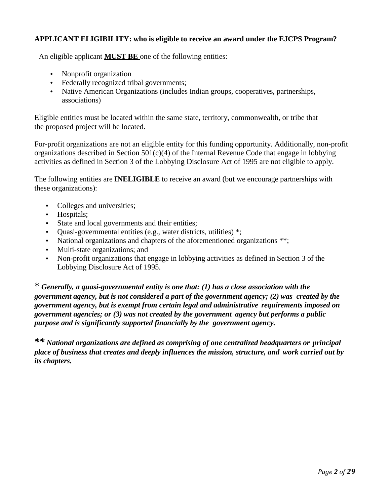# **APPLICANT ELIGIBILITY: who is eligible to receive an award under the EJCPS Program?**

An eligible applicant **MUST BE** one of the following entities:

- Nonprofit organization
- Federally recognized tribal governments;
- Native American Organizations (includes Indian groups, cooperatives, partnerships, associations)

Eligible entities must be located within the same state, territory, commonwealth, or tribe that the proposed project will be located.

For-profit organizations are not an eligible entity for this funding opportunity. Additionally, non-profit organizations described in Section 501(c)(4) of the Internal Revenue Code that engage in lobbying activities as defined in Section 3 of the Lobbying Disclosure Act of 1995 are not eligible to apply.

The following entities are **INELIGIBLE** to receive an award (but we encourage partnerships with these organizations):

- Colleges and universities;
- Hospitals;
- State and local governments and their entities;
- Quasi-governmental entities (e.g., water districts, utilities) \*;
- National organizations and chapters of the aforementioned organizations \*\*;
- Multi-state organizations; and
- Non-profit organizations that engage in lobbying activities as defined in Section 3 of the Lobbying Disclosure Act of 1995.

\* *Generally, a quasi-governmental entity is one that: (1) has a close association with the government agency, but is not considered a part of the government agency; (2) was created by the government agency, but is exempt from certain legal and administrative requirements imposed on government agencies; or (3) was not created by the government agency but performs a public purpose and is significantly supported financially by the government agency.*

*\*\* National organizations are defined as comprising of one centralized headquarters or principal place of business that creates and deeply influences the mission, structure, and work carried out by its chapters.*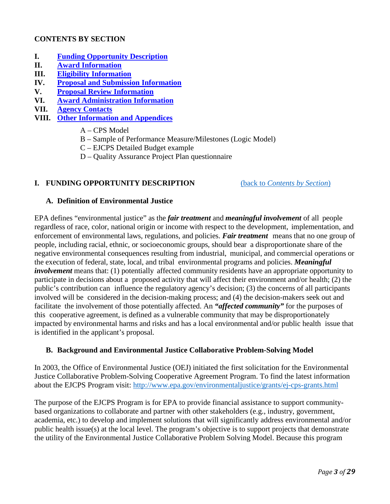# <span id="page-5-1"></span>**CONTENTS BY SECTION**

- **I. [Funding Opportunity Description](#page-5-0)**
- **II. [Award Information](#page-9-0)**
- **III. [Eligibility Information](#page-10-0)**
- **IV. [Proposal and Submission Information](#page-12-0)**
- **V. [Proposal Review Information](#page-21-0)**
- **VI. [Award Administration Information](#page-24-0)**
- **VII. [Agency Contacts](#page-26-0)**
- <span id="page-5-0"></span>**VIII. [Other Information and Appendices](#page-27-0)**
	- A CPS Model
	- B Sample of Performance Measure/Milestones (Logic Model)
	- C EJCPS Detailed Budget example
	- D Quality Assurance Project Plan questionnaire

#### **I. FUNDING OPPORTUNITY DESCRIPTION** (back to *[Contents by Section](#page-5-1)*)

#### **A. Definition of Environmental Justice**

EPA defines "environmental justice" as the *fair treatment* and *meaningful involvement* of all people regardless of race, color, national origin or income with respect to the development, implementation, and enforcement of environmental laws, regulations, and policies. *Fair treatment* means that no one group of people, including racial, ethnic, or socioeconomic groups, should bear a disproportionate share of the negative environmental consequences resulting from industrial, municipal, and commercial operations or the execution of federal, state, local, and tribal environmental programs and policies. *Meaningful involvement* means that: (1) potentially affected community residents have an appropriate opportunity to participate in decisions about a proposed activity that will affect their environment and/or health; (2) the public's contribution can influence the regulatory agency's decision; (3) the concerns of all participants involved will be considered in the decision-making process; and (4) the decision-makers seek out and facilitate the involvement of those potentially affected. An *"affected community"* for the purposes of this cooperative agreement, is defined as a vulnerable community that may be disproportionately impacted by environmental harms and risks and has a local environmental and/or public health issue that is identified in the applicant's proposal.

## **B. Background and Environmental Justice Collaborative Problem-Solving Model**

In 2003, the Office of Environmental Justice (OEJ) initiated the first solicitation for the Environmental Justice Collaborative Problem-Solving Cooperative Agreement Program. To find the latest information about the EJCPS Program visit:<http://www.epa.gov/environmentaljustice/grants/ej-cps-grants.html>

The purpose of the EJCPS Program is for EPA to provide financial assistance to support communitybased organizations to collaborate and partner with other stakeholders (e.g., industry, government, academia, etc.) to develop and implement solutions that will significantly address environmental and/or public health issue(s) at the local level. The program's objective is to support projects that demonstrate the utility of the Environmental Justice Collaborative Problem Solving Model. Because this program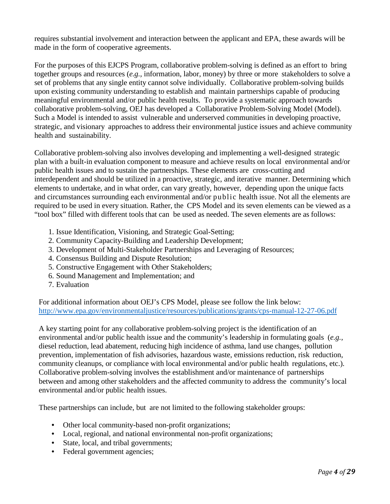requires substantial involvement and interaction between the applicant and EPA, these awards will be made in the form of cooperative agreements.

For the purposes of this EJCPS Program, collaborative problem-solving is defined as an effort to bring together groups and resources (*e.g.,* information, labor, money) by three or more stakeholders to solve a set of problems that any single entity cannot solve individually. Collaborative problem-solving builds upon existing community understanding to establish and maintain partnerships capable of producing meaningful environmental and/or public health results. To provide a systematic approach towards collaborative problem-solving, OEJ has developed a Collaborative Problem-Solving Model (Model). Such a Model is intended to assist vulnerable and underserved communities in developing proactive, strategic, and visionary approaches to address their environmental justice issues and achieve community health and sustainability.

Collaborative problem-solving also involves developing and implementing a well-designed strategic plan with a built-in evaluation component to measure and achieve results on local environmental and/or public health issues and to sustain the partnerships. These elements are cross-cutting and interdependent and should be utilized in a proactive, strategic, and iterative manner. Determining which elements to undertake, and in what order, can vary greatly, however, depending upon the unique facts and circumstances surrounding each environmental and/or public health issue. Not all the elements are required to be used in every situation. Rather, the CPS Model and its seven elements can be viewed as a "tool box" filled with different tools that can be used as needed. The seven elements are as follows:

- 1. Issue Identification, Visioning, and Strategic Goal-Setting;
- 2. Community Capacity-Building and Leadership Development;
- 3. Development of Multi-Stakeholder Partnerships and Leveraging of Resources;
- 4. Consensus Building and Dispute Resolution;
- 5. Constructive Engagement with Other Stakeholders;
- 6. Sound Management and Implementation; and
- 7. Evaluation

For additional information about OEJ's CPS Model, please see follow the link below: <http://www.epa.gov/environmentaljustice/resources/publications/grants/cps-manual-12-27-06.pdf>

A key starting point for any collaborative problem-solving project is the identification of an environmental and/or public health issue and the community's leadership in formulating goals (*e.g.,*  diesel reduction, lead abatement, reducing high incidence of asthma, land use changes, pollution prevention, implementation of fish advisories, hazardous waste, emissions reduction, risk reduction, community cleanups, or compliance with local environmental and/or public health regulations, etc.). Collaborative problem-solving involves the establishment and/or maintenance of partnerships between and among other stakeholders and the affected community to address the community's local environmental and/or public health issues.

These partnerships can include, but are not limited to the following stakeholder groups:

- *•* Other local community-based non-profit organizations;
- *•* Local, regional, and national environmental non-profit organizations;
- State, local, and tribal governments;
- Federal government agencies;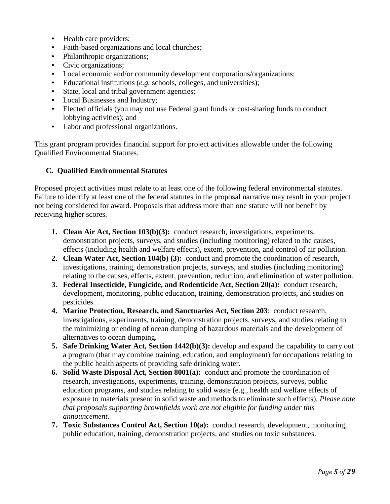- *•* Health care providers;
- Faith-based organizations and local churches;
- *•* Philanthropic organizations;
- *•* Civic organizations;
- Local economic and/or community development corporations/organizations;
- Educational institutions (*e.g.* schools, colleges, and universities);
- State, local and tribal government agencies;
- Local Businesses and Industry;
- *•* Elected officials (you may not use Federal grant funds or cost-sharing funds to conduct lobbying activities); and
- *•* Labor and professional organizations.

This grant program provides financial support for project activities allowable under the following Qualified Environmental Statutes.

#### **C. Qualified Environmental Statutes**

Proposed project activities must relate to at least one of the following federal environmental statutes. Failure to identify at least one of the federal statutes in the proposal narrative may result in your project not being considered for award. Proposals that address more than one statute will not benefit by receiving higher scores.

- **1. Clean Air Act, Section 103(b)(3):** conduct research, investigations, experiments, demonstration projects, surveys, and studies (including monitoring) related to the causes, effects (including health and welfare effects), extent, prevention, and control of air pollution.
- **2. Clean Water Act, Section 104(b) (3):** conduct and promote the coordination of research, investigations, training, demonstration projects, surveys, and studies (including monitoring) relating to the causes, effects, extent, prevention, reduction, and elimination of water pollution.
- **3. Federal Insecticide, Fungicide, and Rodenticide Act, Section 20(a):** conduct research, development, monitoring, public education, training, demonstration projects, and studies on pesticides.
- **4. Marine Protection, Research, and Sanctuaries Act, Section 203**: conduct research, investigations, experiments, training, demonstration projects, surveys, and studies relating to the minimizing or ending of ocean dumping of hazardous materials and the development of alternatives to ocean dumping.
- **5. Safe Drinking Water Act, Section 1442(b)(3):** develop and expand the capability to carry out a program (that may combine training, education, and employment) for occupations relating to the public health aspects of providing safe drinking water.
- **6. Solid Waste Disposal Act, Section 8001(a):** conduct and promote the coordination of research, investigations, experiments, training, demonstration projects, surveys, public education programs, and studies relating to solid waste (e.g., health and welfare effects of exposure to materials present in solid waste and methods to eliminate such effects). *Please note that proposals supporting brownfields work are not eligible for funding under this announcement.*
- **7. Toxic Substances Control Act, Section 10(a):** conduct research, development, monitoring, public education, training, demonstration projects, and studies on toxic substances.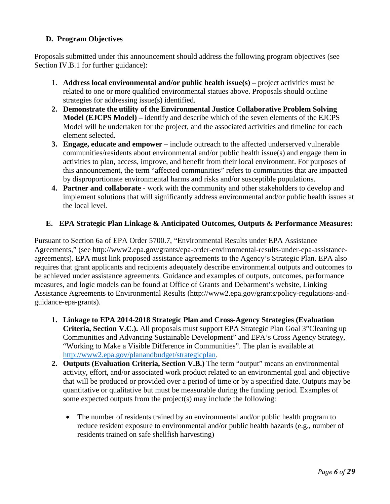# **D. Program Objectives**

Proposals submitted under this announcement should address the following program objectives (see Section IV.B.1 for further guidance):

- 1. **Address local environmental and/or public health issue(s) –** project activities must be related to one or more qualified environmental statues above. Proposals should outline strategies for addressing issue(s) identified.
- **2. Demonstrate the utility of the Environmental Justice Collaborative Problem Solving Model (EJCPS Model) –** identify and describe which of the seven elements of the EJCPS Model will be undertaken for the project, and the associated activities and timeline for each element selected.
- **3. Engage, educate and empower** include outreach to the affected underserved vulnerable communities/residents about environmental and/or public health issue(s) and engage them in activities to plan, access, improve, and benefit from their local environment. For purposes of this announcement, the term "affected communities" refers to communities that are impacted by disproportionate environmental harms and risks and/or susceptible populations.
- **4. Partner and collaborate** work with the community and other stakeholders to develop and implement solutions that will significantly address environmental and/or public health issues at the local level.

#### **E. EPA Strategic Plan Linkage & Anticipated Outcomes, Outputs & Performance Measures:**

Pursuant to Section 6a of EPA Order 5700.7, "Environmental Results under EPA Assistance Agreements," (see http://www2.epa.gov/grants/epa-order-environmental-results-under-epa-assistanceagreements). EPA must link proposed assistance agreements to the Agency's Strategic Plan. EPA also requires that grant applicants and recipients adequately describe environmental outputs and outcomes to be achieved under assistance agreements. Guidance and examples of outputs, outcomes, performance measures, and logic models can be found at Office of Grants and Debarment's website, Linking Assistance Agreements to Environmental Results (http://www2.epa.gov/grants/policy-regulations-andguidance-epa-grants).

- **1. Linkage to EPA 2014-2018 Strategic Plan and Cross-Agency Strategies (Evaluation Criteria, Section V.C.).** All proposals must support EPA Strategic Plan Goal 3"Cleaning up Communities and Advancing Sustainable Development" and EPA's Cross Agency Strategy, "Working to Make a Visible Difference in Communities". The plan is available at [http://www2.epa.gov/planandbudget/strategicplan.](http://www2.epa.gov/planandbudget/strategicplan)
- **2. Outputs (Evaluation Criteria, Section V.B.)** The term "output" means an environmental activity, effort, and/or associated work product related to an environmental goal and objective that will be produced or provided over a period of time or by a specified date. Outputs may be quantitative or qualitative but must be measurable during the funding period. Examples of some expected outputs from the project(s) may include the following:
	- The number of residents trained by an environmental and/or public health program to reduce resident exposure to environmental and/or public health hazards (e.g., number of residents trained on safe shellfish harvesting)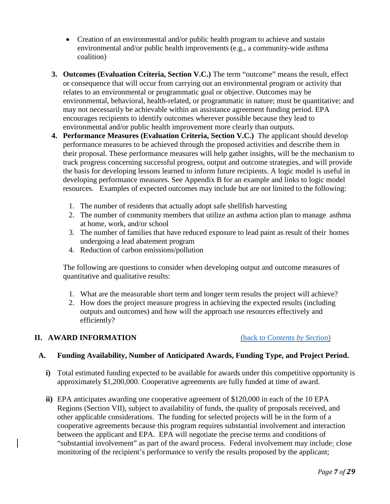- Creation of an environmental and/or public health program to achieve and sustain environmental and/or public health improvements (e.g., a community-wide asthma coalition)
- **3. Outcomes (Evaluation Criteria, Section V.C.)** The term "outcome" means the result, effect or consequence that will occur from carrying out an environmental program or activity that relates to an environmental or programmatic goal or objective. Outcomes may be environmental, behavioral, health-related, or programmatic in nature; must be quantitative; and may not necessarily be achievable within an assistance agreement funding period. EPA encourages recipients to identify outcomes wherever possible because they lead to environmental and/or public health improvement more clearly than outputs.
- **4. Performance Measures (Evaluation Criteria, Section V.C.)** The applicant should develop performance measures to be achieved through the proposed activities and describe them in their proposal. These performance measures will help gather insights, will be the mechanism to track progress concerning successful progress, output and outcome strategies, and will provide the basis for developing lessons learned to inform future recipients. A logic model is useful in developing performance measures. See Appendix B for an example and links to logic model resources. Examples of expected outcomes may include but are not limited to the following:
	- 1. The number of residents that actually adopt safe shellfish harvesting
	- 2. The number of community members that utilize an asthma action plan to manage asthma at home, work, and/or school
	- 3. The number of families that have reduced exposure to lead paint as result of their homes undergoing a lead abatement program
	- 4. Reduction of carbon emissions/pollution

The following are questions to consider when developing output and outcome measures of quantitative and qualitative results:

- 1. What are the measurable short term and longer term results the project will achieve?
- 2. How does the project measure progress in achieving the expected results (including outputs and outcomes) and how will the approach use resources effectively and efficiently?

#### <span id="page-9-0"></span>**II. AWARD INFORMATION** (back to *[Contents by Section](#page-5-1)*)

#### **A. Funding Availability, Number of Anticipated Awards, Funding Type, and Project Period.**

- **i)** Total estimated funding expected to be available for awards under this competitive opportunity is approximately \$1,200,000. Cooperative agreements are fully funded at time of award.
- **ii)** EPA anticipates awarding one cooperative agreement of \$120,000 in each of the 10 EPA Regions (Section VII), subject to availability of funds, the quality of proposals received, and other applicable considerations. The funding for selected projects will be in the form of a cooperative agreements because this program requires substantial involvement and interaction between the applicant and EPA. EPA will negotiate the precise terms and conditions of "substantial involvement" as part of the award process. Federal involvement may include: close monitoring of the recipient's performance to verify the results proposed by the applicant;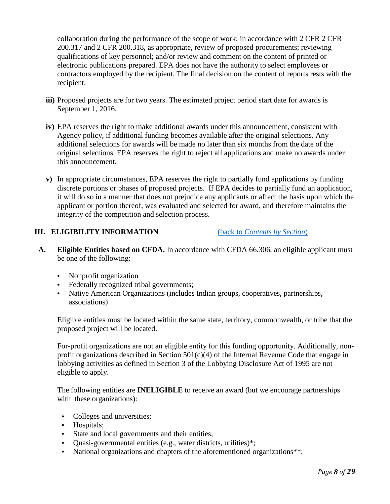collaboration during the performance of the scope of work; in accordance with 2 CFR 2 CFR 200.317 and 2 CFR 200.318, as appropriate, review of proposed procurements; reviewing qualifications of key personnel; and/or review and comment on the content of printed or electronic publications prepared. EPA does not have the authority to select employees or contractors employed by the recipient. The final decision on the content of reports rests with the recipient.

- **iii)** Proposed projects are for two years. The estimated project period start date for awards is September 1, 2016.
- **iv)** EPA reserves the right to make additional awards under this announcement, consistent with Agency policy, if additional funding becomes available after the original selections. Any additional selections for awards will be made no later than six months from the date of the original selections. EPA reserves the right to reject all applications and make no awards under this announcement.
- **v)** In appropriate circumstances, EPA reserves the right to partially fund applications by funding discrete portions or phases of proposed projects. If EPA decides to partially fund an application, it will do so in a manner that does not prejudice any applicants or affect the basis upon which the applicant or portion thereof, was evaluated and selected for award, and therefore maintains the integrity of the competition and selection process.

#### <span id="page-10-0"></span>**III. ELIGIBILITY INFORMATION** (back to *[Contents by Section](#page-5-1)*)

- **A. Eligible Entities based on CFDA.** In accordance with CFDA 66.306, an eligible applicant must be one of the following:
	- Nonprofit organization
	- Federally recognized tribal governments;
	- Native American Organizations (includes Indian groups, cooperatives, partnerships, associations)

Eligible entities must be located within the same state, territory, commonwealth, or tribe that the proposed project will be located.

For-profit organizations are not an eligible entity for this funding opportunity. Additionally, nonprofit organizations described in Section 501(c)(4) of the Internal Revenue Code that engage in lobbying activities as defined in Section 3 of the Lobbying Disclosure Act of 1995 are not eligible to apply.

The following entities are **INELIGIBLE** to receive an award (but we encourage partnerships with these organizations):

- Colleges and universities;
- Hospitals;
- State and local governments and their entities;
- Quasi-governmental entities (e.g., water districts, utilities)\*;
- National organizations and chapters of the aforementioned organizations\*\*;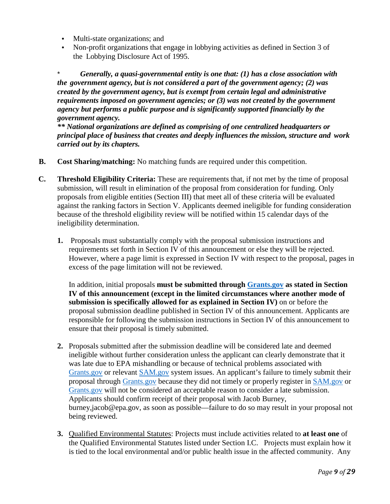- Multi-state organizations; and
- Non-profit organizations that engage in lobbying activities as defined in Section 3 of the Lobbying Disclosure Act of 1995.

\* *Generally, a quasi-governmental entity is one that: (1) has a close association with the government agency, but is not considered a part of the government agency; (2) was created by the government agency, but is exempt from certain legal and administrative requirements imposed on government agencies; or (3) was not created by the government agency but performs a public purpose and is significantly supported financially by the government agency.*

*\*\* National organizations are defined as comprising of one centralized headquarters or principal place of business that creates and deeply influences the mission, structure and work carried out by its chapters.*

- **B. Cost Sharing/matching:** No matching funds are required under this competition.
- **C. Threshold Eligibility Criteria:** These are requirements that, if not met by the time of proposal submission, will result in elimination of the proposal from consideration for funding. Only proposals from eligible entities (Section III) that meet all of these criteria will be evaluated against the ranking factors in Section V. Applicants deemed ineligible for funding consideration because of the threshold eligibility review will be notified within 15 calendar days of the ineligibility determination.
	- **1.** Proposals must substantially comply with the proposal submission instructions and requirements set forth in Section IV of this announcement or else they will be rejected. However, where a page limit is expressed in Section IV with respect to the proposal, pages in excess of the page limitation will not be reviewed.

In addition, initial proposals **must be submitted through [Grants.gov](http://www.sam.gov/) as stated in Section IV of this announcement (except in the limited circumstances where another mode of submission is specifically allowed for as explained in Section IV)** on or before the proposal submission deadline published in Section IV of this announcement. Applicants are responsible for following the submission instructions in Section IV of this announcement to ensure that their proposal is timely submitted.

- **2.** Proposals submitted after the submission deadline will be considered late and deemed ineligible without further consideration unless the applicant can clearly demonstrate that it was late due to EPA mishandling or because of technical problems associated with [Grants.gov](http://grants.gov/) or relevant [SAM.gov](http://www.sam.gov/) system issues. An applicant's failure to timely submit their proposal through [Grants.gov](http://www.grants.gov/) because they did not timely or properly register in [SAM.gov](http://www.sam.gov/) or [Grants.gov](http://grants.gov/) will not be considered an acceptable reason to consider a late submission. Applicants should confirm receipt of their proposal with Jacob Burney, burney,jacob@epa.gov, as soon as possible—failure to do so may result in your proposal not being reviewed.
- **3.** Qualified Environmental Statutes: Projects must include activities related to **at least one** of the Qualified Environmental Statutes listed under Section I.C. Projects must explain how it is tied to the local environmental and/or public health issue in the affected community. Any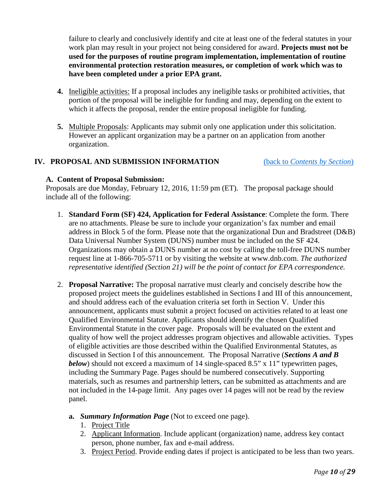failure to clearly and conclusively identify and cite at least one of the federal statutes in your work plan may result in your project not being considered for award. **Projects must not be used for the purposes of routine program implementation, implementation of routine environmental protection restoration measures, or completion of work which was to have been completed under a prior EPA grant.**

- **4.** Ineligible activities: If a proposal includes any ineligible tasks or prohibited activities, that portion of the proposal will be ineligible for funding and may, depending on the extent to which it affects the proposal, render the entire proposal ineligible for funding.
- **5.** Multiple Proposals: Applicants may submit only one application under this solicitation. However an applicant organization may be a partner on an application from another organization.

## <span id="page-12-0"></span>**IV. PROPOSAL AND SUBMISSION INFORMATION** (back to *[Contents by Section](#page-5-1)*)

#### **A. Content of Proposal Submission:**

Proposals are due Monday, February 12, 2016, 11:59 pm (ET). The proposal package should include all of the following:

- 1. **Standard Form (SF) 424, Application for Federal Assistance**: Complete the form. There are no attachments. Please be sure to include your organization's fax number and email address in Block 5 of the form. Please note that the organizational Dun and Bradstreet (D&B) Data Universal Number System (DUNS) number must be included on the SF 424. Organizations may obtain a DUNS number at no cost by calling the toll-free DUNS number request line at 1-866-705-5711 or by visiting the website at www.dnb.com. *The authorized representative identified (Section 21) will be the point of contact for EPA correspondence.*
- 2. **Proposal Narrative:** The proposal narrative must clearly and concisely describe how the proposed project meets the guidelines established in Sections I and III of this announcement, and should address each of the evaluation criteria set forth in Section V. Under this announcement, applicants must submit a project focused on activities related to at least one Qualified Environmental Statute. Applicants should identify the chosen Qualified Environmental Statute in the cover page. Proposals will be evaluated on the extent and quality of how well the project addresses program objectives and allowable activities. Types of eligible activities are those described within the Qualified Environmental Statutes, as discussed in Section I of this announcement. The Proposal Narrative (*Sections A and B below*) should not exceed a maximum of 14 single-spaced 8.5" x 11" typewritten pages, including the Summary Page. Pages should be numbered consecutively. Supporting materials, such as resumes and partnership letters, can be submitted as attachments and are not included in the 14-page limit. Any pages over 14 pages will not be read by the review panel.
	- **a.** *Summary Information Page* (Not to exceed one page).
		- 1. Project Title
		- 2. Applicant Information. Include applicant (organization) name, address key contact person, phone number, fax and e-mail address.
		- 3. Project Period. Provide ending dates if project is anticipated to be less than two years.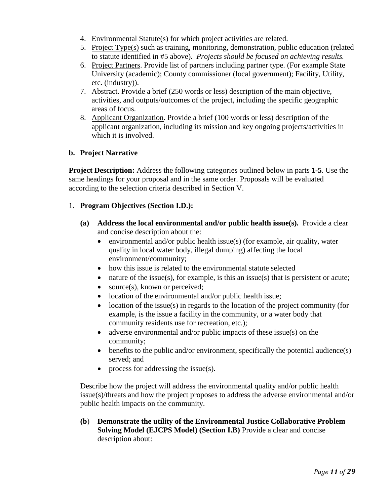- 4. Environmental Statute(s) for which project activities are related.
- 5. Project Type(s) such as training, monitoring, demonstration, public education (related to statute identified in #5 above). *Projects should be focused on achieving results.*
- 6. Project Partners. Provide list of partners including partner type. (For example State University (academic); County commissioner (local government); Facility, Utility, etc. (industry)).
- 7. Abstract. Provide a brief (250 words or less) description of the main objective, activities, and outputs/outcomes of the project, including the specific geographic areas of focus.
- 8. Applicant Organization. Provide a brief (100 words or less) description of the applicant organization, including its mission and key ongoing projects/activities in which it is involved.

## **b. Project Narrative**

**Project Description:** Address the following categories outlined below in parts **1-5**. Use the same headings for your proposal and in the same order. Proposals will be evaluated according to the selection criteria described in Section V.

#### 1. **Program Objectives (Section I.D.):**

- **(a) Address the local environmental and/or public health issue(s).** Provide a clear and concise description about the:
	- environmental and/or public health issue(s) (for example, air quality, water quality in local water body, illegal dumping) affecting the local environment/community;
	- how this issue is related to the environmental statute selected
	- nature of the issue(s), for example, is this an issue(s) that is persistent or acute;
	- source(s), known or perceived;
	- location of the environmental and/or public health issue;
	- location of the issue(s) in regards to the location of the project community (for example, is the issue a facility in the community, or a water body that community residents use for recreation, etc.);
	- adverse environmental and/or public impacts of these issue(s) on the community;
	- benefits to the public and/or environment, specifically the potential audience(s) served; and
	- process for addressing the issue(s).

Describe how the project will address the environmental quality and/or public health issue(s)/threats and how the project proposes to address the adverse environmental and/or public health impacts on the community.

**(b**) **Demonstrate the utility of the Environmental Justice Collaborative Problem Solving Model (EJCPS Model) (Section I.B)** Provide a clear and concise description about: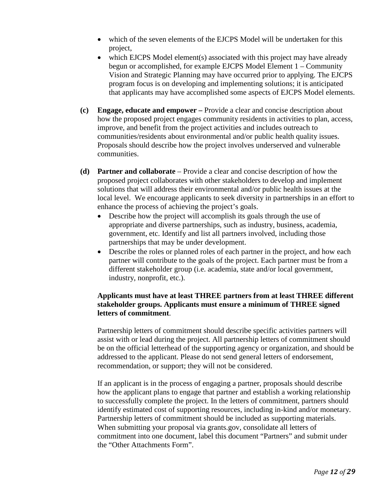- which of the seven elements of the EJCPS Model will be undertaken for this project,
- which EJCPS Model element(s) associated with this project may have already begun or accomplished, for example EJCPS Model Element 1 – Community Vision and Strategic Planning may have occurred prior to applying. The EJCPS program focus is on developing and implementing solutions; it is anticipated that applicants may have accomplished some aspects of EJCPS Model elements.
- **(c) Engage, educate and empower –** Provide a clear and concise description about how the proposed project engages community residents in activities to plan, access, improve, and benefit from the project activities and includes outreach to communities/residents about environmental and/or public health quality issues. Proposals should describe how the project involves underserved and vulnerable communities.
- **(d) Partner and collaborate** Provide a clear and concise description of how the proposed project collaborates with other stakeholders to develop and implement solutions that will address their environmental and/or public health issues at the local level. We encourage applicants to seek diversity in partnerships in an effort to enhance the process of achieving the project's goals.
	- Describe how the project will accomplish its goals through the use of appropriate and diverse partnerships, such as industry, business, academia, government, etc. Identify and list all partners involved, including those partnerships that may be under development.
	- Describe the roles or planned roles of each partner in the project, and how each partner will contribute to the goals of the project. Each partner must be from a different stakeholder group (i.e. academia, state and/or local government, industry, nonprofit, etc.).

#### **Applicants must have at least THREE partners from at least THREE different stakeholder groups. Applicants must ensure a minimum of THREE signed letters of commitment**.

Partnership letters of commitment should describe specific activities partners will assist with or lead during the project. All partnership letters of commitment should be on the official letterhead of the supporting agency or organization, and should be addressed to the applicant. Please do not send general letters of endorsement, recommendation, or support; they will not be considered.

If an applicant is in the process of engaging a partner, proposals should describe how the applicant plans to engage that partner and establish a working relationship to successfully complete the project. In the letters of commitment, partners should identify estimated cost of supporting resources, including in-kind and/or monetary. Partnership letters of commitment should be included as supporting materials. When submitting your proposal via grants.gov, consolidate all letters of commitment into one document, label this document "Partners" and submit under the "Other Attachments Form".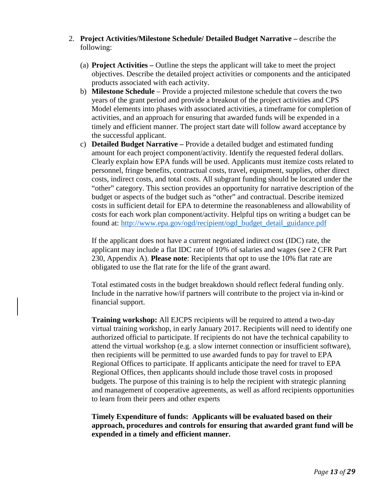- 2. **Project Activities/Milestone Schedule/ Detailed Budget Narrative –** describe the following:
	- (a) **Project Activities –** Outline the steps the applicant will take to meet the project objectives. Describe the detailed project activities or components and the anticipated products associated with each activity.
	- b) **Milestone Schedule** Provide a projected milestone schedule that covers the two years of the grant period and provide a breakout of the project activities and CPS Model elements into phases with associated activities, a timeframe for completion of activities, and an approach for ensuring that awarded funds will be expended in a timely and efficient manner. The project start date will follow award acceptance by the successful applicant.
	- c) **Detailed Budget Narrative –** Provide a detailed budget and estimated funding amount for each project component/activity. Identify the requested federal dollars. Clearly explain how EPA funds will be used. Applicants must itemize costs related to personnel, fringe benefits, contractual costs, travel, equipment, supplies, other direct costs, indirect costs, and total costs. All subgrant funding should be located under the "other" category. This section provides an opportunity for narrative description of the budget or aspects of the budget such as "other" and contractual. Describe itemized costs in sufficient detail for EPA to determine the reasonableness and allowability of costs for each work plan component/activity. Helpful tips on writing a budget can be found at: [http://www.epa.gov/ogd/recipient/ogd\\_budget\\_detail\\_guidance.pdf](http://www.epa.gov/ogd/recipient/ogd_budget_detail_guidance.pdf)

If the applicant does not have a current negotiated indirect cost (IDC) rate, the applicant may include a flat IDC rate of 10% of salaries and wages (see 2 CFR Part 230, Appendix A). **Please note**: Recipients that opt to use the 10% flat rate are obligated to use the flat rate for the life of the grant award.

Total estimated costs in the budget breakdown should reflect federal funding only. Include in the narrative how/if partners will contribute to the project via in-kind or financial support.

**Training workshop:** All EJCPS recipients will be required to attend a two-day virtual training workshop, in early January 2017. Recipients will need to identify one authorized official to participate. If recipients do not have the technical capability to attend the virtual workshop (e.g. a slow internet connection or insufficient software), then recipients will be permitted to use awarded funds to pay for travel to EPA Regional Offices to participate. If applicants anticipate the need for travel to EPA Regional Offices, then applicants should include those travel costs in proposed budgets. The purpose of this training is to help the recipient with strategic planning and management of cooperative agreements, as well as afford recipients opportunities to learn from their peers and other experts

**Timely Expenditure of funds: Applicants will be evaluated based on their approach, procedures and controls for ensuring that awarded grant fund will be expended in a timely and efficient manner.**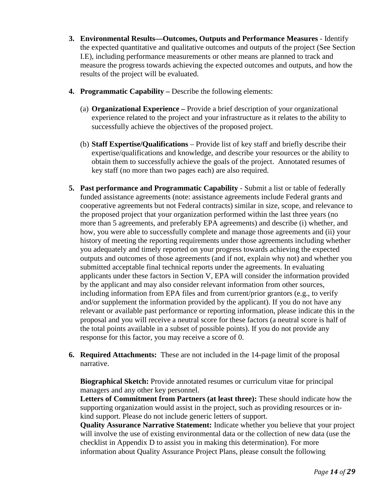- **3. Environmental Results—Outcomes, Outputs and Performance Measures** Identify the expected quantitative and qualitative outcomes and outputs of the project (See Section I.E), including performance measurements or other means are planned to track and measure the progress towards achieving the expected outcomes and outputs, and how the results of the project will be evaluated.
- **4. Programmatic Capability –** Describe the following elements:
	- (a) **Organizational Experience –** Provide a brief description of your organizational experience related to the project and your infrastructure as it relates to the ability to successfully achieve the objectives of the proposed project.
	- (b) **Staff Expertise/Qualifications**  Provide list of key staff and briefly describe their expertise/qualifications and knowledge, and describe your resources or the ability to obtain them to successfully achieve the goals of the project. Annotated resumes of key staff (no more than two pages each) are also required.
- **5.** Past performance and Programmatic Capability Submit a list or table of federally funded assistance agreements (note: assistance agreements include Federal grants and cooperative agreements but not Federal contracts) similar in size, scope, and relevance to the proposed project that your organization performed within the last three years (no more than 5 agreements, and preferably EPA agreements) and describe (i) whether, and how, you were able to successfully complete and manage those agreements and (ii) your history of meeting the reporting requirements under those agreements including whether you adequately and timely reported on your progress towards achieving the expected outputs and outcomes of those agreements (and if not, explain why not) and whether you submitted acceptable final technical reports under the agreements. In evaluating applicants under these factors in Section V, EPA will consider the information provided by the applicant and may also consider relevant information from other sources, including information from EPA files and from current/prior grantors (e.g., to verify and/or supplement the information provided by the applicant). If you do not have any relevant or available past performance or reporting information, please indicate this in the proposal and you will receive a neutral score for these factors (a neutral score is half of the total points available in a subset of possible points). If you do not provide any response for this factor, you may receive a score of 0.
- **6. Required Attachments:** These are not included in the 14-page limit of the proposal narrative.

**Biographical Sketch:** Provide annotated resumes or curriculum vitae for principal managers and any other key personnel.

**Letters of Commitment from Partners (at least three):** These should indicate how the supporting organization would assist in the project, such as providing resources or inkind support. Please do not include generic letters of support.

**Quality Assurance Narrative Statement:** Indicate whether you believe that your project will involve the use of existing environmental data or the collection of new data (use the checklist in Appendix D to assist you in making this determination). For more information about Quality Assurance Project Plans, please consult the following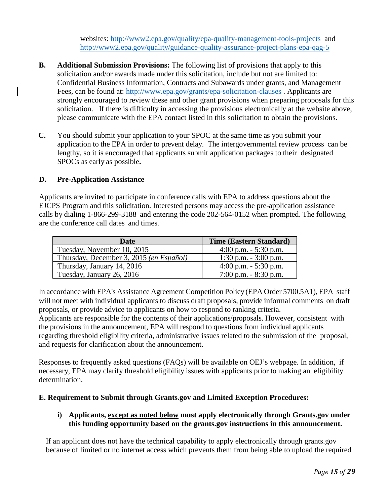websites:<http://www2.epa.gov/quality/epa-quality-management-tools-projects> and <http://www2.epa.gov/quality/guidance-quality-assurance-project-plans-epa-qag-5>

- **B. Additional Submission Provisions:** The following list of provisions that apply to this solicitation and/or awards made under this solicitation, include but not are limited to: Confidential Business Information, Contracts and Subawards under grants, and Management Fees, can be found at: <http://www.epa.gov/grants/epa-solicitation-clauses> . Applicants are strongly encouraged to review these and other grant provisions when preparing proposals for this solicitation. If there is difficulty in accessing the provisions electronically at the website above, please communicate with the EPA contact listed in this solicitation to obtain the provisions.
- **C.** You should submit your application to your SPOC at the same time as you submit your application to the EPA in order to prevent delay. The intergovernmental review process can be lengthy, so it is encouraged that applicants submit application packages to their designated SPOCs as early as possible**.**

#### **D. Pre-Application Assistance**

Applicants are invited to participate in conference calls with EPA to address questions about the EJCPS Program and this solicitation. Interested persons may access the pre-application assistance calls by dialing 1-866-299-3188 and entering the code 202-564-0152 when prompted. The following are the conference call dates and times.

| Date                                    | <b>Time (Eastern Standard)</b> |
|-----------------------------------------|--------------------------------|
| Tuesday, November 10, 2015              | 4:00 p.m. $-$ 5:30 p.m.        |
| Thursday, December 3, 2015 (en Español) | 1:30 p.m. $-3:00$ p.m.         |
| Thursday, January 14, 2016              | 4:00 p.m. $-$ 5:30 p.m.        |
| Tuesday, January 26, 2016               | $7:00$ p.m. $-8:30$ p.m.       |

In accordance with EPA's Assistance Agreement Competition Policy (EPA Order 5700.5A1), EPA staff will not meet with individual applicants to discuss draft proposals, provide informal comments on draft proposals, or provide advice to applicants on how to respond to ranking criteria.

Applicants are responsible for the contents of their applications/proposals. However, consistent with the provisions in the announcement, EPA will respond to questions from individual applicants regarding threshold eligibility criteria, administrative issues related to the submission of the proposal, and requests for clarification about the announcement.

Responses to frequently asked questions (FAQs) will be available on OEJ's webpage. In addition, if necessary, EPA may clarify threshold eligibility issues with applicants prior to making an eligibility determination.

## **E. Requirement to Submit through Grants.gov and Limited Exception Procedures:**

## **i) Applicants, except as noted below must apply electronically through Grants.gov under this funding opportunity based on the grants.gov instructions in this announcement.**

If an applicant does not have the technical capability to apply electronically through grants.gov because of limited or no internet access which prevents them from being able to upload the required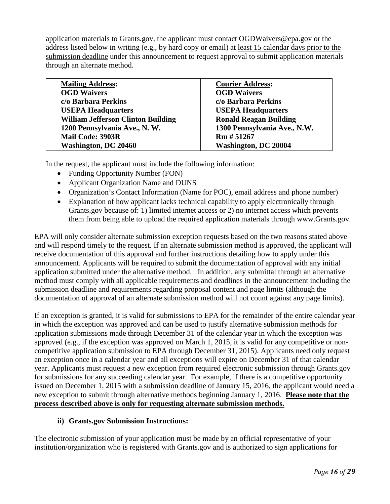application materials to Grants.gov, the applicant must contact OGDWaivers@epa.gov or the address listed below in writing (e.g., by hard copy or email) at least 15 calendar days prior to the submission deadline under this announcement to request approval to submit application materials through an alternate method.

| <b>Mailing Address:</b>                   | <b>Courier Address:</b>       |
|-------------------------------------------|-------------------------------|
| <b>OGD Waivers</b>                        | <b>OGD Waivers</b>            |
| c/o Barbara Perkins                       | c/o Barbara Perkins           |
| <b>USEPA Headquarters</b>                 | <b>USEPA Headquarters</b>     |
| <b>William Jefferson Clinton Building</b> | <b>Ronald Reagan Building</b> |
| 1200 Pennsylvania Ave., N. W.             | 1300 Pennsylvania Ave., N.W.  |
| <b>Mail Code: 3903R</b>                   | Rm # 51267                    |
| Washington, DC 20460                      | <b>Washington, DC 20004</b>   |
|                                           |                               |

In the request, the applicant must include the following information:

- Funding Opportunity Number (FON)
- Applicant Organization Name and DUNS
- Organization's Contact Information (Name for POC), email address and phone number)
- Explanation of how applicant lacks technical capability to apply electronically through Grants.gov because of: 1) limited internet access or 2) no internet access which prevents them from being able to upload the required application materials through www.Grants.gov.

EPA will only consider alternate submission exception requests based on the two reasons stated above and will respond timely to the request. If an alternate submission method is approved, the applicant will receive documentation of this approval and further instructions detailing how to apply under this announcement. Applicants will be required to submit the documentation of approval with any initial application submitted under the alternative method. In addition, any submittal through an alternative method must comply with all applicable requirements and deadlines in the announcement including the submission deadline and requirements regarding proposal content and page limits (although the documentation of approval of an alternate submission method will not count against any page limits).

If an exception is granted, it is valid for submissions to EPA for the remainder of the entire calendar year in which the exception was approved and can be used to justify alternative submission methods for application submissions made through December 31 of the calendar year in which the exception was approved (e.g., if the exception was approved on March 1, 2015, it is valid for any competitive or noncompetitive application submission to EPA through December 31, 2015). Applicants need only request an exception once in a calendar year and all exceptions will expire on December 31 of that calendar year. Applicants must request a new exception from required electronic submission through Grants.gov for submissions for any succeeding calendar year. For example, if there is a competitive opportunity issued on December 1, 2015 with a submission deadline of January 15, 2016, the applicant would need a new exception to submit through alternative methods beginning January 1, 2016. **Please note that the process described above is only for requesting alternate submission methods.**

#### **ii) Grants.gov Submission Instructions:**

The electronic submission of your application must be made by an official representative of your institution/organization who is registered with Grants.gov and is authorized to sign applications for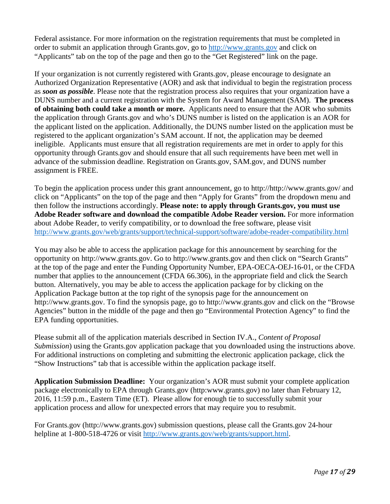Federal assistance. For more information on the registration requirements that must be completed in order to submit an application through Grants.gov, go to [http://www.grants.gov](http://www.grants.gov/) and click on "Applicants" tab on the top of the page and then go to the "Get Registered" link on the page.

If your organization is not currently registered with Grants.gov, please encourage to designate an Authorized Organization Representative (AOR) and ask that individual to begin the registration process as *soon as possible*. Please note that the registration process also requires that your organization have a DUNS number and a current registration with the System for Award Management (SAM). **The process of obtaining both could take a month or more.** Applicants need to ensure that the AOR who submits the application through Grants.gov and who's DUNS number is listed on the application is an AOR for the applicant listed on the application. Additionally, the DUNS number listed on the application must be registered to the applicant organization's SAM account. If not, the application may be deemed ineligible. Applicants must ensure that all registration requirements are met in order to apply for this opportunity through Grants.gov and should ensure that all such requirements have been met well in advance of the submission deadline. Registration on Grants.gov, SAM.gov, and DUNS number assignment is FREE.

To begin the application process under this grant announcement, go to http://http://www.grants.gov/ and click on "Applicants" on the top of the page and then "Apply for Grants" from the dropdown menu and then follow the instructions accordingly. **Please note: to apply through Grants.gov, you must use Adobe Reader software and download the compatible Adobe Reader version.** For more information about Adobe Reader, to verify compatibility, or to download the free software, please visit <http://www.grants.gov/web/grants/support/technical-support/software/adobe-reader-compatibility.html>

You may also be able to access the application package for this announcement by searching for the opportunity on http://www.grants.gov. Go to http://www.grants.gov and then click on "Search Grants" at the top of the page and enter the Funding Opportunity Number, EPA-OECA-OEJ-16-01, or the CFDA number that applies to the announcement (CFDA 66.306), in the appropriate field and click the Search button. Alternatively, you may be able to access the application package for by clicking on the Application Package button at the top right of the synopsis page for the announcement on http://www.grants.gov. To find the synopsis page, go to http://www.grants.gov and click on the "Browse Agencies" button in the middle of the page and then go "Environmental Protection Agency" to find the EPA funding opportunities.

Please submit all of the application materials described in Section IV.A., *Content of Proposal Submission*) using the Grants.gov application package that you downloaded using the instructions above. For additional instructions on completing and submitting the electronic application package, click the "Show Instructions" tab that is accessible within the application package itself.

**Application Submission Deadline:** Your organization's AOR must submit your complete application package electronically to EPA through Grants.gov (http:www.grants.gov) no later than February 12, 2016, 11:59 p.m., Eastern Time (ET). Please allow for enough tie to successfully submit your application process and allow for unexpected errors that may require you to resubmit.

For Grants.gov (http://www.grants.gov) submission questions, please call the Grants.gov 24-hour helpline at 1-800-518-4726 or visit [http://www.grants.gov/web/grants/support.html.](http://www.grants.gov/web/grants/support.html)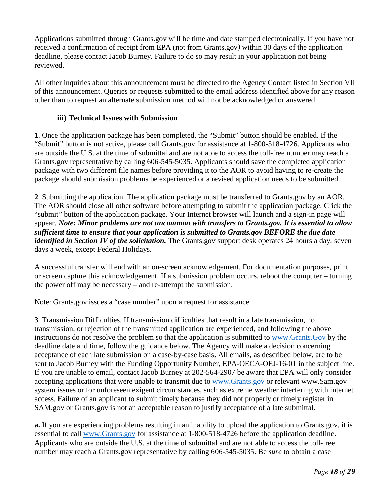Applications submitted through Grants.gov will be time and date stamped electronically. If you have not received a confirmation of receipt from EPA (not from Grants.gov*)* within 30 days of the application deadline, please contact Jacob Burney. Failure to do so may result in your application not being reviewed.

All other inquiries about this announcement must be directed to the Agency Contact listed in Section VII of this announcement. Queries or requests submitted to the email address identified above for any reason other than to request an alternate submission method will not be acknowledged or answered.

#### **iii) Technical Issues with Submission**

**1**. Once the application package has been completed, the "Submit" button should be enabled. If the "Submit" button is not active, please call Grants.gov for assistance at 1-800-518-4726. Applicants who are outside the U.S. at the time of submittal and are not able to access the toll-free number may reach a Grants.gov representative by calling 606-545-5035. Applicants should save the completed application package with two different file names before providing it to the AOR to avoid having to re-create the package should submission problems be experienced or a revised application needs to be submitted.

**2**. Submitting the application. The application package must be transferred to Grants.gov by an AOR. The AOR should close all other software before attempting to submit the application package. Click the "submit" button of the application package. Your Internet browser will launch and a sign-in page will appear. *Note: Minor problems are not uncommon with transfers to Grants.gov. It is essential to allow sufficient time to ensure that your application is submitted to Grants.gov BEFORE the due date identified in Section IV of the solicitation.* The Grants.gov support desk operates 24 hours a day, seven days a week, except Federal Holidays.

A successful transfer will end with an on-screen acknowledgement. For documentation purposes, print or screen capture this acknowledgement. If a submission problem occurs, reboot the computer – turning the power off may be necessary – and re-attempt the submission.

Note: Grants.gov issues a "case number" upon a request for assistance.

**3**. Transmission Difficulties. If transmission difficulties that result in a late transmission, no transmission, or rejection of the transmitted application are experienced, and following the above instructions do not resolve the problem so that the application is submitted to [www.Grants.Gov](http://www.grants.gov/) by the deadline date and time, follow the guidance below. The Agency will make a decision concerning acceptance of each late submission on a case-by-case basis. All emails, as described below, are to be sent to Jacob Burney with the Funding Opportunity Number, EPA-OECA-OEJ-16-01 in the subject line. If you are unable to email, contact Jacob Burney at 202-564-2907 be aware that EPA will only consider accepting applications that were unable to transmit due to [www.Grants.gov](http://www.grants.gov/) or relevant www.Sam.gov system issues or for unforeseen exigent circumstances, such as extreme weather interfering with internet access. Failure of an applicant to submit timely because they did not properly or timely register in SAM.gov or Grants.gov is not an acceptable reason to justify acceptance of a late submittal.

**a.** If you are experiencing problems resulting in an inability to upload the application to Grants.gov, it is essential to call [www.Grants.gov](http://www.grants.gov/) for assistance at 1-800-518-4726 before the application deadline. Applicants who are outside the U.S. at the time of submittal and are not able to access the toll-free number may reach a Grants.gov representative by calling 606-545-5035. Be *sure* to obtain a case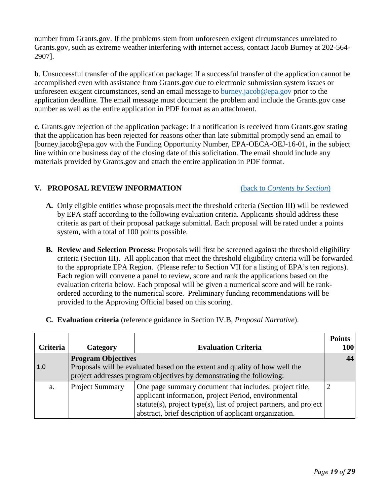number from Grants.gov. If the problems stem from unforeseen exigent circumstances unrelated to Grants.gov, such as extreme weather interfering with internet access, contact Jacob Burney at 202-564- 2907].

**b**. Unsuccessful transfer of the application package: If a successful transfer of the application cannot be accomplished even with assistance from Grants.gov due to electronic submission system issues or unforeseen exigent circumstances, send an email message to [burney.jacob@epa.gov](mailto:burney.jacob@epa.gov) prior to the application deadline. The email message must document the problem and include the Grants.gov case number as well as the entire application in PDF format as an attachment.

**c**. Grants.gov rejection of the application package: If a notification is received from Grants.gov stating that the application has been rejected for reasons other than late submittal promptly send an email to [burney.jacob@epa.gov with the Funding Opportunity Number, EPA-OECA-OEJ-16-01, in the subject line within one business day of the closing date of this solicitation. The email should include any materials provided by Grants.gov and attach the entire application in PDF format.

## <span id="page-21-0"></span>**V. PROPOSAL REVIEW INFORMATION** (back to *[Contents by Section](#page-5-1)*)

- **A.** Only eligible entities whose proposals meet the threshold criteria (Section III) will be reviewed by EPA staff according to the following evaluation criteria. Applicants should address these criteria as part of their proposal package submittal. Each proposal will be rated under a points system, with a total of 100 points possible.
- **B. Review and Selection Process:** Proposals will first be screened against the threshold eligibility criteria (Section III). All application that meet the threshold eligibility criteria will be forwarded to the appropriate EPA Region. (Please refer to Section VII for a listing of EPA's ten regions). Each region will convene a panel to review, score and rank the applications based on the evaluation criteria below. Each proposal will be given a numerical score and will be rankordered according to the numerical score. Preliminary funding recommendations will be provided to the Approving Official based on this scoring.
- **C. Evaluation criteria** (reference guidance in Section IV.B, *Proposal Narrative*).

| <b>Criteria</b> | <b>Category</b>                                                             | <b>Evaluation Criteria</b>                                         | <b>Points</b><br>100 |  |  |
|-----------------|-----------------------------------------------------------------------------|--------------------------------------------------------------------|----------------------|--|--|
|                 |                                                                             |                                                                    |                      |  |  |
|                 | <b>Program Objectives</b>                                                   |                                                                    | 44                   |  |  |
| 1.0             | Proposals will be evaluated based on the extent and quality of how well the |                                                                    |                      |  |  |
|                 | project addresses program objectives by demonstrating the following:        |                                                                    |                      |  |  |
| a.              | <b>Project Summary</b>                                                      | One page summary document that includes: project title,            |                      |  |  |
|                 |                                                                             | applicant information, project Period, environmental               |                      |  |  |
|                 |                                                                             | statute(s), project type(s), list of project partners, and project |                      |  |  |
|                 |                                                                             | abstract, brief description of applicant organization.             |                      |  |  |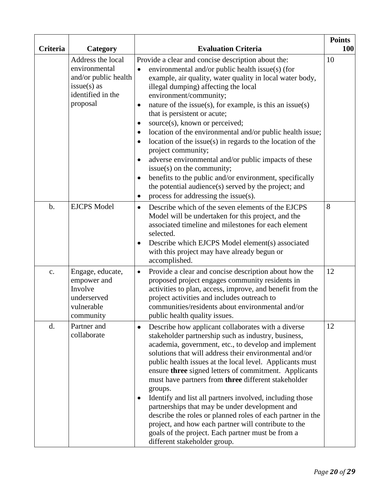| <b>Criteria</b> | <b>Category</b>                                                                                              | <b>Evaluation Criteria</b>                                                                                                                                                                                                                                                                                                                                                                                                                                                                                                                                                                                                                                                                                                                                                                                                                                      | <b>Points</b><br><b>100</b> |
|-----------------|--------------------------------------------------------------------------------------------------------------|-----------------------------------------------------------------------------------------------------------------------------------------------------------------------------------------------------------------------------------------------------------------------------------------------------------------------------------------------------------------------------------------------------------------------------------------------------------------------------------------------------------------------------------------------------------------------------------------------------------------------------------------------------------------------------------------------------------------------------------------------------------------------------------------------------------------------------------------------------------------|-----------------------------|
|                 | Address the local<br>environmental<br>and/or public health<br>$issue(s)$ as<br>identified in the<br>proposal | Provide a clear and concise description about the:<br>environmental and/or public health issue(s) (for<br>$\bullet$<br>example, air quality, water quality in local water body,<br>illegal dumping) affecting the local<br>environment/community;<br>nature of the issue(s), for example, is this an issue(s)<br>$\bullet$<br>that is persistent or acute;<br>source(s), known or perceived;<br>$\bullet$<br>location of the environmental and/or public health issue;<br>$\bullet$<br>location of the issue(s) in regards to the location of the<br>$\bullet$<br>project community;<br>adverse environmental and/or public impacts of these<br>issue(s) on the community;<br>benefits to the public and/or environment, specifically<br>$\bullet$<br>the potential audience(s) served by the project; and<br>process for addressing the issue(s).<br>$\bullet$ | 10                          |
| $b$ .           | <b>EJCPS Model</b>                                                                                           | Describe which of the seven elements of the EJCPS<br>$\bullet$<br>Model will be undertaken for this project, and the<br>associated timeline and milestones for each element<br>selected.<br>Describe which EJCPS Model element(s) associated<br>with this project may have already begun or<br>accomplished.                                                                                                                                                                                                                                                                                                                                                                                                                                                                                                                                                    | 8                           |
| $\mathbf{c}$ .  | Engage, educate,<br>empower and<br>Involve<br>underserved<br>vulnerable<br>community                         | Provide a clear and concise description about how the<br>$\bullet$<br>proposed project engages community residents in<br>activities to plan, access, improve, and benefit from the<br>project activities and includes outreach to<br>communities/residents about environmental and/or<br>public health quality issues.                                                                                                                                                                                                                                                                                                                                                                                                                                                                                                                                          | 12                          |
| d.              | Partner and<br>collaborate                                                                                   | Describe how applicant collaborates with a diverse<br>٠<br>stakeholder partnership such as industry, business,<br>academia, government, etc., to develop and implement<br>solutions that will address their environmental and/or<br>public health issues at the local level. Applicants must<br>ensure three signed letters of commitment. Applicants<br>must have partners from three different stakeholder<br>groups.<br>Identify and list all partners involved, including those<br>partnerships that may be under development and<br>describe the roles or planned roles of each partner in the<br>project, and how each partner will contribute to the<br>goals of the project. Each partner must be from a<br>different stakeholder group.                                                                                                                | 12                          |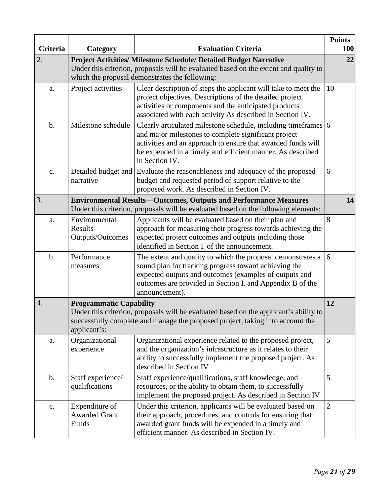| Criteria       | <b>Category</b><br><b>Evaluation Criteria</b>                                                                                                                                                                                   |                                                                                                                                                                                                                                                                        |                |  |
|----------------|---------------------------------------------------------------------------------------------------------------------------------------------------------------------------------------------------------------------------------|------------------------------------------------------------------------------------------------------------------------------------------------------------------------------------------------------------------------------------------------------------------------|----------------|--|
| 2.             | <b>Project Activities/ Milestone Schedule/ Detailed Budget Narrative</b><br>Under this criterion, proposals will be evaluated based on the extent and quality to<br>which the proposal demonstrates the following:              |                                                                                                                                                                                                                                                                        |                |  |
| a.             | Project activities                                                                                                                                                                                                              | Clear description of steps the applicant will take to meet the<br>project objectives. Descriptions of the detailed project<br>activities or components and the anticipated products<br>associated with each activity As described in Section IV.                       | 10             |  |
| b.             | Milestone schedule                                                                                                                                                                                                              | Clearly articulated milestone schedule, including timeframes 6<br>and major milestones to complete significant project<br>activities and an approach to ensure that awarded funds will<br>be expended in a timely and efficient manner. As described<br>in Section IV. |                |  |
| c.             | narrative                                                                                                                                                                                                                       | Detailed budget and Evaluate the reasonableness and adequacy of the proposed<br>budget and requested period of support relative to the<br>proposed work. As described in Section IV.                                                                                   | 6              |  |
| 3.             | <b>Environmental Results-Outcomes, Outputs and Performance Measures</b><br>Under this criterion, proposals will be evaluated based on the following elements:                                                                   |                                                                                                                                                                                                                                                                        |                |  |
| a.             | Environmental<br>Results-<br>Outputs/Outcomes                                                                                                                                                                                   | Applicants will be evaluated based on their plan and<br>approach for measuring their progress towards achieving the<br>expected project outcomes and outputs including those<br>identified in Section I. of the announcement.                                          | 8              |  |
| b.             | Performance<br>measures                                                                                                                                                                                                         | The extent and quality to which the proposal demonstrates a<br>sound plan for tracking progress toward achieving the<br>expected outputs and outcomes (examples of outputs and<br>outcomes are provided in Section I. and Appendix B of the<br>announcement).          | 6              |  |
| 4.             | 12<br><b>Programmatic Capability</b><br>Under this criterion, proposals will be evaluated based on the applicant's ability to<br>successfully complete and manage the proposed project, taking into account the<br>applicant's: |                                                                                                                                                                                                                                                                        |                |  |
| a.             | Organizational<br>experience                                                                                                                                                                                                    | Organizational experience related to the proposed project,<br>and the organization's infrastructure as it relates to their<br>ability to successfully implement the proposed project. As<br>described in Section IV                                                    | 5              |  |
| $\mathbf b$ .  | Staff experience/<br>qualifications                                                                                                                                                                                             | Staff experience/qualifications, staff knowledge, and<br>resources, or the ability to obtain them, to successfully<br>implement the proposed project. As described in Section IV                                                                                       | 5              |  |
| $\mathbf{c}$ . | Expenditure of<br><b>Awarded Grant</b><br>Funds                                                                                                                                                                                 | Under this criterion, applicants will be evaluated based on<br>their approach, procedures, and controls for ensuring that<br>awarded grant funds will be expended in a timely and<br>efficient manner. As described in Section IV.                                     | $\overline{2}$ |  |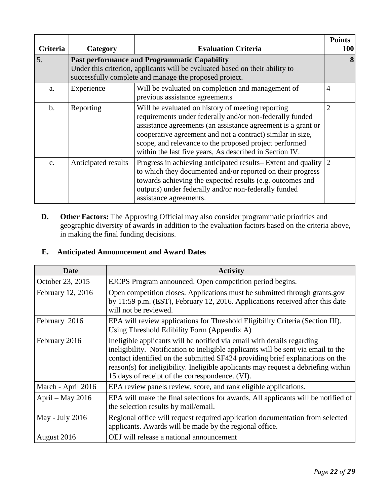| <b>Criteria</b> | Category                                                                                                                                                                                      | <b>Evaluation Criteria</b>                                                                                                                                                                                                                                                                                                                                       | <b>Points</b><br><b>100</b> |
|-----------------|-----------------------------------------------------------------------------------------------------------------------------------------------------------------------------------------------|------------------------------------------------------------------------------------------------------------------------------------------------------------------------------------------------------------------------------------------------------------------------------------------------------------------------------------------------------------------|-----------------------------|
| 5.              | <b>Past performance and Programmatic Capability</b><br>Under this criterion, applicants will be evaluated based on their ability to<br>successfully complete and manage the proposed project. |                                                                                                                                                                                                                                                                                                                                                                  |                             |
| a.              | Experience                                                                                                                                                                                    | Will be evaluated on completion and management of<br>previous assistance agreements                                                                                                                                                                                                                                                                              | $\overline{4}$              |
| $\mathbf{b}$ .  | Reporting                                                                                                                                                                                     | Will be evaluated on history of meeting reporting<br>requirements under federally and/or non-federally funded<br>assistance agreements (an assistance agreement is a grant or<br>cooperative agreement and not a contract) similar in size,<br>scope, and relevance to the proposed project performed<br>within the last five years, As described in Section IV. | $\overline{2}$              |
| $C_{\star}$     | Anticipated results                                                                                                                                                                           | Progress in achieving anticipated results–Extent and quality<br>to which they documented and/or reported on their progress<br>towards achieving the expected results (e.g. outcomes and<br>outputs) under federally and/or non-federally funded<br>assistance agreements.                                                                                        | 2                           |

**D. Other Factors:** The Approving Official may also consider programmatic priorities and geographic diversity of awards in addition to the evaluation factors based on the criteria above, in making the final funding decisions.

# **E. Anticipated Announcement and Award Dates**

<span id="page-24-0"></span>

| Date               | <b>Activity</b>                                                                                                                                                                                                                                                                                                                                                                         |
|--------------------|-----------------------------------------------------------------------------------------------------------------------------------------------------------------------------------------------------------------------------------------------------------------------------------------------------------------------------------------------------------------------------------------|
| October 23, 2015   | EJCPS Program announced. Open competition period begins.                                                                                                                                                                                                                                                                                                                                |
| February 12, 2016  | Open competition closes. Applications must be submitted through grants.gov<br>by 11:59 p.m. (EST), February 12, 2016. Applications received after this date<br>will not be reviewed.                                                                                                                                                                                                    |
| February 2016      | EPA will review applications for Threshold Eligibility Criteria (Section III).<br>Using Threshold Edibility Form (Appendix A)                                                                                                                                                                                                                                                           |
| February 2016      | Ineligible applicants will be notified via email with details regarding<br>ineligibility. Notification to ineligible applicants will be sent via email to the<br>contact identified on the submitted SF424 providing brief explanations on the<br>reason(s) for ineligibility. Ineligible applicants may request a debriefing within<br>15 days of receipt of the correspondence. (VI). |
| March - April 2016 | EPA review panels review, score, and rank eligible applications.                                                                                                                                                                                                                                                                                                                        |
| April - May 2016   | EPA will make the final selections for awards. All applicants will be notified of<br>the selection results by mail/email.                                                                                                                                                                                                                                                               |
| May - July 2016    | Regional office will request required application documentation from selected<br>applicants. Awards will be made by the regional office.                                                                                                                                                                                                                                                |
| August 2016        | OEJ will release a national announcement                                                                                                                                                                                                                                                                                                                                                |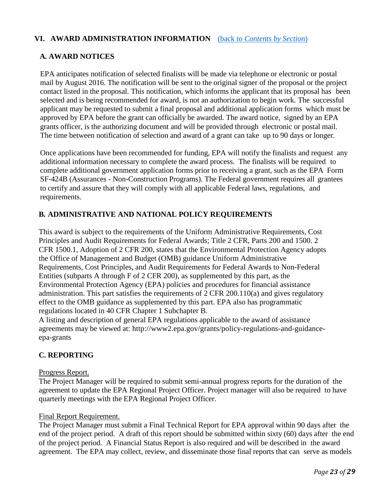## **VI. AWARD ADMINISTRATION INFORMATION** (back to *[Contents by Section](#page-5-1)*)

#### **A. AWARD NOTICES**

EPA anticipates notification of selected finalists will be made via telephone or electronic or postal mail by August 2016. The notification will be sent to the original signer of the proposal or the project contact listed in the proposal. This notification, which informs the applicant that its proposal has been selected and is being recommended for award, is not an authorization to begin work. The successful applicant may be requested to submit a final proposal and additional application forms which must be approved by EPA before the grant can officially be awarded. The award notice, signed by an EPA grants officer, is the authorizing document and will be provided through electronic or postal mail. The time between notification of selection and award of a grant can take up to 90 days or longer.

Once applications have been recommended for funding, EPA will notify the finalists and request any additional information necessary to complete the award process. The finalists will be required to complete additional government application forms prior to receiving a grant, such as the EPA Form SF-424B (Assurances - Non-Construction Programs). The Federal government requires all grantees to certify and assure that they will comply with all applicable Federal laws, regulations, and requirements.

#### **B. ADMINISTRATIVE AND NATIONAL POLICY REQUIREMENTS**

This award is subject to the requirements of the Uniform Administrative Requirements, Cost Principles and Audit Requirements for Federal Awards; Title 2 CFR, Parts 200 and 1500. 2 CFR 1500.1, Adoption of 2 CFR 200, states that the Environmental Protection Agency adopts the Office of Management and Budget (OMB) guidance Uniform Administrative Requirements, Cost Principles, and Audit Requirements for Federal Awards to Non-Federal Entities (subparts A through F of 2 CFR 200), as supplemented by this part, as the Environmental Protection Agency (EPA) policies and procedures for financial assistance administration. This part satisfies the requirements of  $2$  CFR 200.110(a) and gives regulatory effect to the OMB guidance as supplemented by this part. EPA also has programmatic regulations located in 40 CFR Chapter 1 Subchapter B.

A listing and description of general EPA regulations applicable to the award of assistance agreements may be viewed at: http://www2.epa.gov/grants/policy-regulations-and-guidanceepa-grants

## **C. REPORTING**

#### Progress Report.

The Project Manager will be required to submit semi-annual progress reports for the duration of the agreement to update the EPA Regional Project Officer. Project manager will also be required to have quarterly meetings with the EPA Regional Project Officer.

#### Final Report Requirement.

The Project Manager must submit a Final Technical Report for EPA approval within 90 days after the end of the project period. A draft of this report should be submitted within sixty (60) days after the end of the project period. A Financial Status Report is also required and will be described in the award agreement. The EPA may collect, review, and disseminate those final reports that can serve as models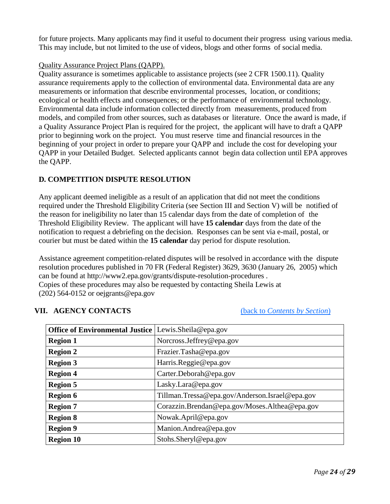for future projects. Many applicants may find it useful to document their progress using various media. This may include, but not limited to the use of videos, blogs and other forms of social media.

#### Quality Assurance Project Plans (QAPP).

Quality assurance is sometimes applicable to assistance projects (see 2 CFR 1500.11). Quality assurance requirements apply to the collection of environmental data. Environmental data are any measurements or information that describe environmental processes, location, or conditions; ecological or health effects and consequences; or the performance of environmental technology. Environmental data include information collected directly from measurements, produced from models, and compiled from other sources, such as databases or literature. Once the award is made, if a Quality Assurance Project Plan is required for the project, the applicant will have to draft a QAPP prior to beginning work on the project. You must reserve time and financial resources in the beginning of your project in order to prepare your QAPP and include the cost for developing your QAPP in your Detailed Budget. Selected applicants cannot begin data collection until EPA approves the QAPP.

## **D. COMPETITION DISPUTE RESOLUTION**

Any applicant deemed ineligible as a result of an application that did not meet the conditions required under the Threshold Eligibility Criteria (see Section III and Section V) will be notified of the reason for ineligibility no later than 15 calendar days from the date of completion of the Threshold Eligibility Review. The applicant will have **15 calendar** days from the date of the notification to request a debriefing on the decision. Responses can be sent via e-mail, postal, or courier but must be dated within the **15 calendar** day period for dispute resolution.

Assistance agreement competition-related disputes will be resolved in accordance with the dispute resolution procedures published in 70 FR (Federal Register) 3629, 3630 (January 26, 2005) which can be found at http://www2.epa.gov/grants/dispute-resolution-procedures . Copies of these procedures may also be requested by contacting Sheila Lewis at (202) 564-0152 or [oejgrants@epa.gov](mailto:oejgrants@epa.gov)

## <span id="page-26-0"></span>**VII. AGENCY CONTACTS** (back to *[Contents by Section](#page-5-1)*)

| <b>Office of Environmental Justice</b> | Lewis.Sheila@epa.gov                           |
|----------------------------------------|------------------------------------------------|
| <b>Region 1</b>                        | Norcross.Jeffrey@epa.gov                       |
| <b>Region 2</b>                        | Frazier.Tasha@epa.gov                          |
| <b>Region 3</b>                        | Harris.Reggie@epa.gov                          |
| <b>Region 4</b>                        | Carter.Deborah@epa.gov                         |
| <b>Region 5</b>                        | Lasky.Lara@epa.gov                             |
| <b>Region 6</b>                        | Tillman.Tressa@epa.gov/Anderson.Israel@epa.gov |
| <b>Region 7</b>                        | Corazzin.Brendan@epa.gov/Moses.Althea@epa.gov  |
| <b>Region 8</b>                        | Nowak.April@epa.gov                            |
| <b>Region 9</b>                        | Manion.Andrea@epa.gov                          |
| <b>Region 10</b>                       | Stohs.Sheryl@epa.gov                           |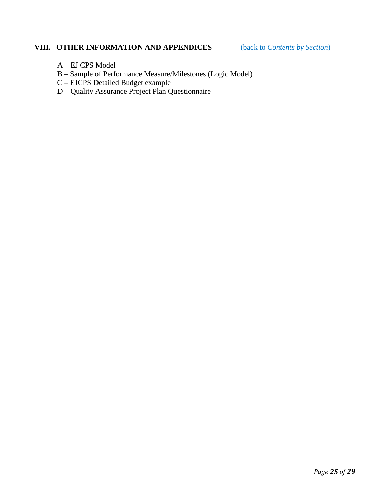# <span id="page-27-0"></span>**VIII. OTHER INFORMATION AND APPENDICES** (back to *[Contents by Section](#page-5-1)*)

- A EJ CPS Model
- B Sample of Performance Measure/Milestones (Logic Model)
- C EJCPS Detailed Budget example
- D Quality Assurance Project Plan Questionnaire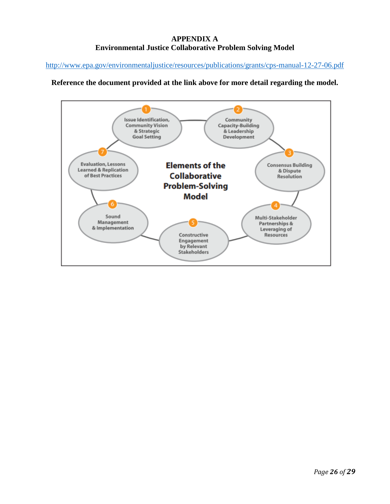# **APPENDIX A Environmental Justice Collaborative Problem Solving Model**

<http://www.epa.gov/environmentaljustice/resources/publications/grants/cps-manual-12-27-06.pdf>

#### **Reference the document provided at the link above for more detail regarding the model.**

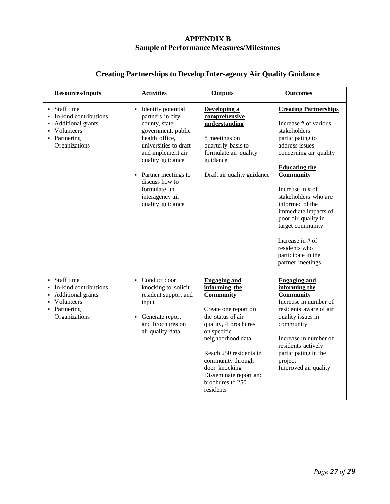## **APPENDIX B Sample of Performance Measures/Milestones**

| <b>Resources/Inputs</b>                                                                                                          | <b>Activities</b>                                                                                                                                                                                                                                                      | <b>Outputs</b>                                                                                                                                                                                                                                                                               | <b>Outcomes</b>                                                                                                                                                                                                                                                                                                                                                                                      |
|----------------------------------------------------------------------------------------------------------------------------------|------------------------------------------------------------------------------------------------------------------------------------------------------------------------------------------------------------------------------------------------------------------------|----------------------------------------------------------------------------------------------------------------------------------------------------------------------------------------------------------------------------------------------------------------------------------------------|------------------------------------------------------------------------------------------------------------------------------------------------------------------------------------------------------------------------------------------------------------------------------------------------------------------------------------------------------------------------------------------------------|
| • Staff time<br>In-kind contributions<br>Additional grants<br>Volunteers<br>• Partnering<br>Organizations                        | • Identify potential<br>partners in city,<br>county, state<br>government, public<br>health office,<br>universities to draft<br>and implement air<br>quality guidance<br>• Partner meetings to<br>discuss how to<br>formulate an<br>interagency air<br>quality guidance | Developing a<br>comprehensive<br>understanding<br>8 meetings on<br>quarterly basis to<br>formulate air quality<br>guidance<br>Draft air quality guidance                                                                                                                                     | <b>Creating Partnerships</b><br>Increase # of various<br>stakeholders<br>participating to<br>address issues<br>concerning air quality<br><b>Educating the</b><br><b>Community</b><br>Increase in $#$ of<br>stakeholders who are<br>informed of the<br>immediate impacts of<br>poor air quality in<br>target community<br>Increase in # of<br>residents who<br>participate in the<br>partner meetings |
| • Staff time<br>In-kind contributions<br><b>Additional grants</b><br>Volunteers<br>$\blacksquare$<br>Partnering<br>Organizations | • Conduct door<br>knocking to solicit<br>resident support and<br>input<br>Generate report<br>and brochures on<br>air quality data                                                                                                                                      | <b>Engaging and</b><br>informing the<br><b>Community</b><br>Create one report on<br>the status of air<br>quality, 4 brochures<br>on specific<br>neighborhood data<br>Reach 250 residents in<br>community through<br>door knocking<br>Disseminate report and<br>brochures to 250<br>residents | <b>Engaging and</b><br>informing the<br><b>Community</b><br>Increase in number of<br>residents aware of air<br>quality issues in<br>community<br>Increase in number of<br>residents actively<br>participating in the<br>project<br>Improved air quality                                                                                                                                              |

# **Creating Partnerships to Develop Inter-agency Air Quality Guidance**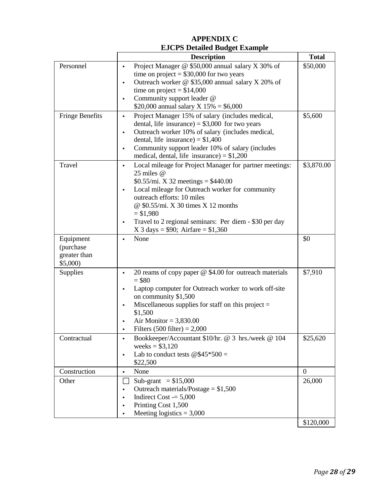# **APPENDIX C EJCPS Detailed Budget Example**

|                                                   | <b>Description</b>                                                                                                                                                                                                                                                                                                                                                   | <b>Total</b>   |
|---------------------------------------------------|----------------------------------------------------------------------------------------------------------------------------------------------------------------------------------------------------------------------------------------------------------------------------------------------------------------------------------------------------------------------|----------------|
| Personnel                                         | Project Manager @ \$50,000 annual salary X 30% of<br>٠<br>time on project = $$30,000$ for two years<br>Outreach worker @ \$35,000 annual salary X 20% of<br>$\blacksquare$                                                                                                                                                                                           | \$50,000       |
|                                                   | time on project = $$14,000$<br>Community support leader @<br>$\blacksquare$<br>\$20,000 annual salary X $15\% = $6,000$                                                                                                                                                                                                                                              |                |
| <b>Fringe Benefits</b>                            | Project Manager 15% of salary (includes medical,<br>$\blacksquare$<br>dental, life insurance) = $$3,000$ for two years<br>Outreach worker 10% of salary (includes medical,<br>٠<br>dental, life insurance) = $$1,400$<br>Community support leader 10% of salary (includes<br>$\blacksquare$<br>medical, dental, life insurance) = $$1,200$                           | \$5,600        |
| Travel                                            | Local mileage for Project Manager for partner meetings:<br>٠<br>25 miles @<br>$$0.55$ /mi. X 32 meetings = \$440.00<br>Local mileage for Outreach worker for community<br>٠<br>outreach efforts: 10 miles<br>@ \$0.55/mi. X 30 times X 12 months<br>$= $1,980$<br>Travel to 2 regional seminars: Per diem - \$30 per day<br>٠<br>X 3 days = \$90; Airfare = $$1,360$ | \$3,870.00     |
| Equipment<br>(purchase<br>greater than<br>\$5,000 | None<br>$\blacksquare$                                                                                                                                                                                                                                                                                                                                               | \$0            |
| Supplies                                          | 20 reams of copy paper $@$ \$4.00 for outreach materials<br>٠<br>$= $80$<br>Laptop computer for Outreach worker to work off-site<br>٠<br>on community \$1,500<br>Miscellaneous supplies for staff on this project $=$<br>$\blacksquare$<br>\$1,500<br>Air Monitor = $3,830.00$<br>$\blacksquare$<br>Filters $(500$ filter) = 2,000                                   | \$7,910        |
| Contractual                                       | Bookkeeper/Accountant \$10/hr. @ 3 hrs./week @ 104<br>٠<br>weeks = $$3,120$<br>Lab to conduct tests $@\$45*500 =$<br>$\blacksquare$<br>\$22,500                                                                                                                                                                                                                      | \$25,620       |
| Construction                                      | None<br>٠                                                                                                                                                                                                                                                                                                                                                            | $\overline{0}$ |
| Other                                             | Sub-grant $= $15,000$<br>Outreach materials/Postage = $$1,500$<br>٠<br>Indirect Cost $= 5,000$<br>٠<br>Printing Cost 1,500<br>٠<br>Meeting logistics = $3,000$<br>$\blacksquare$                                                                                                                                                                                     | 26,000         |
|                                                   |                                                                                                                                                                                                                                                                                                                                                                      | \$120,000      |